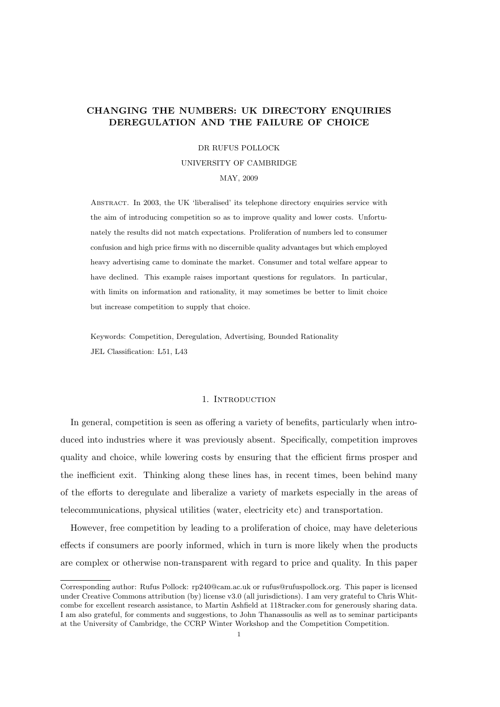# CHANGING THE NUMBERS: UK DIRECTORY ENQUIRIES DEREGULATION AND THE FAILURE OF CHOICE

#### DR RUFUS POLLOCK

### UNIVERSITY OF CAMBRIDGE

#### MAY, 2009

Abstract. In 2003, the UK 'liberalised' its telephone directory enquiries service with the aim of introducing competition so as to improve quality and lower costs. Unfortunately the results did not match expectations. Proliferation of numbers led to consumer confusion and high price firms with no discernible quality advantages but which employed heavy advertising came to dominate the market. Consumer and total welfare appear to have declined. This example raises important questions for regulators. In particular, with limits on information and rationality, it may sometimes be better to limit choice but increase competition to supply that choice.

Keywords: Competition, Deregulation, Advertising, Bounded Rationality JEL Classification: L51, L43

# 1. INTRODUCTION

In general, competition is seen as offering a variety of benefits, particularly when introduced into industries where it was previously absent. Specifically, competition improves quality and choice, while lowering costs by ensuring that the efficient firms prosper and the inefficient exit. Thinking along these lines has, in recent times, been behind many of the efforts to deregulate and liberalize a variety of markets especially in the areas of telecommunications, physical utilities (water, electricity etc) and transportation.

However, free competition by leading to a proliferation of choice, may have deleterious effects if consumers are poorly informed, which in turn is more likely when the products are complex or otherwise non-transparent with regard to price and quality. In this paper

Corresponding author: Rufus Pollock: rp240@cam.ac.uk or rufus@rufuspollock.org. This paper is licensed under Creative Commons attribution (by) license v3.0 (all jurisdictions). I am very grateful to Chris Whitcombe for excellent research assistance, to Martin Ashfield at 118tracker.com for generously sharing data. I am also grateful, for comments and suggestions, to John Thanassoulis as well as to seminar participants at the University of Cambridge, the CCRP Winter Workshop and the Competition Competition.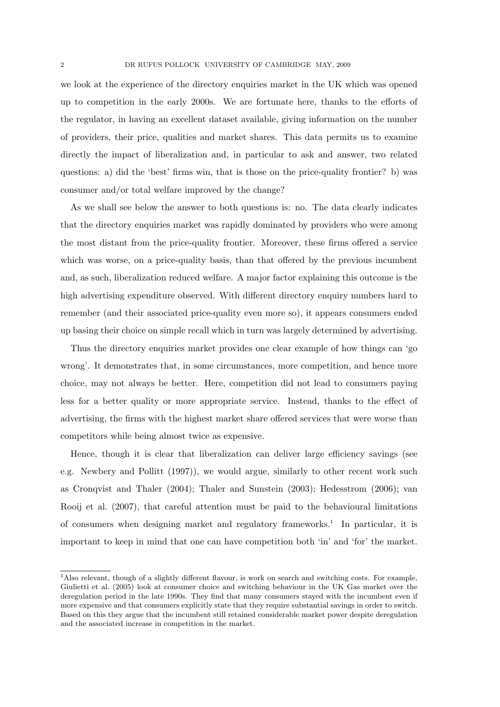we look at the experience of the directory enquiries market in the UK which was opened up to competition in the early 2000s. We are fortunate here, thanks to the efforts of the regulator, in having an excellent dataset available, giving information on the number of providers, their price, qualities and market shares. This data permits us to examine directly the impact of liberalization and, in particular to ask and answer, two related questions: a) did the 'best' firms win, that is those on the price-quality frontier? b) was consumer and/or total welfare improved by the change?

As we shall see below the answer to both questions is: no. The data clearly indicates that the directory enquiries market was rapidly dominated by providers who were among the most distant from the price-quality frontier. Moreover, these firms offered a service which was worse, on a price-quality basis, than that offered by the previous incumbent and, as such, liberalization reduced welfare. A major factor explaining this outcome is the high advertising expenditure observed. With different directory enquiry numbers hard to remember (and their associated price-quality even more so), it appears consumers ended up basing their choice on simple recall which in turn was largely determined by advertising.

Thus the directory enquiries market provides one clear example of how things can 'go wrong'. It demonstrates that, in some circumstances, more competition, and hence more choice, may not always be better. Here, competition did not lead to consumers paying less for a better quality or more appropriate service. Instead, thanks to the effect of advertising, the firms with the highest market share offered services that were worse than competitors while being almost twice as expensive.

Hence, though it is clear that liberalization can deliver large efficiency savings (see e.g. Newbery and Pollitt (1997)), we would argue, similarly to other recent work such as Cronqvist and Thaler (2004); Thaler and Sunstein (2003); Hedesstrom (2006); van Rooij et al. (2007), that careful attention must be paid to the behavioural limitations of consumers when designing market and regulatory frameworks.<sup>1</sup> In particular, it is important to keep in mind that one can have competition both 'in' and 'for' the market.

<sup>&</sup>lt;sup>1</sup>Also relevant, though of a slightly different flavour, is work on search and switching costs. For example, Giulietti et al. (2005) look at consumer choice and switching behaviour in the UK Gas market over the deregulation period in the late 1990s. They find that many consumers stayed with the incumbent even if more expensive and that consumers explicitly state that they require substantial savings in order to switch. Based on this they argue that the incumbent still retained considerable market power despite deregulation and the associated increase in competition in the market.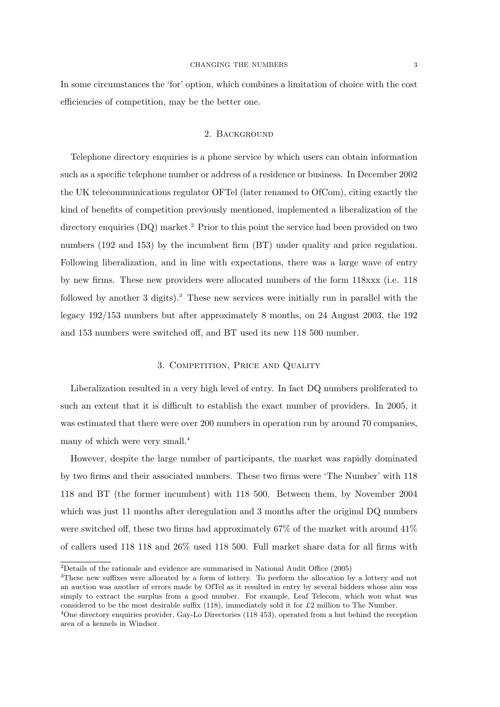In some circumstances the 'for' option, which combines a limitation of choice with the cost efficiencies of competition, may be the better one.

### 2. Background

Telephone directory enquiries is a phone service by which users can obtain information such as a specific telephone number or address of a residence or business. In December 2002 the UK telecommunications regulator OFTel (later renamed to OfCom), citing exactly the kind of benefits of competition previously mentioned, implemented a liberalization of the directory enquiries (DQ) market.<sup>2</sup> Prior to this point the service had been provided on two numbers (192 and 153) by the incumbent firm (BT) under quality and price regulation. Following liberalization, and in line with expectations, there was a large wave of entry by new firms. These new providers were allocated numbers of the form 118xxx (i.e. 118 followed by another 3 digits).<sup>3</sup> These new services were initially run in parallel with the legacy 192/153 numbers but after approximately 8 months, on 24 August 2003, the 192 and 153 numbers were switched off, and BT used its new 118 500 number.

## 3. Competition, Price and Quality

Liberalization resulted in a very high level of entry. In fact DQ numbers proliferated to such an extent that it is difficult to establish the exact number of providers. In 2005, it was estimated that there were over 200 numbers in operation run by around 70 companies, many of which were very small.<sup>4</sup>

However, despite the large number of participants, the market was rapidly dominated by two firms and their associated numbers. These two firms were 'The Number' with 118 118 and BT (the former incumbent) with 118 500. Between them, by November 2004 which was just 11 months after deregulation and 3 months after the original DQ numbers were switched off, these two firms had approximately 67% of the market with around 41% of callers used 118 118 and 26% used 118 500. Full market share data for all firms with

<sup>2</sup>Details of the rationale and evidence are summarised in National Audit Office (2005)

<sup>3</sup>These new suffixes were allocated by a form of lottery. To perform the allocation by a lottery and not an auction was another of errors made by OfTel as it resulted in entry by several bidders whose aim was simply to extract the surplus from a good number. For example, Leaf Telecom, which won what was considered to be the most desirable suffix (118), immediately sold it for £2 million to The Number. <sup>4</sup>One directory enquiries provider, Gay-Lo Directories (118 453), operated from a hut behind the reception area of a kennels in Windsor.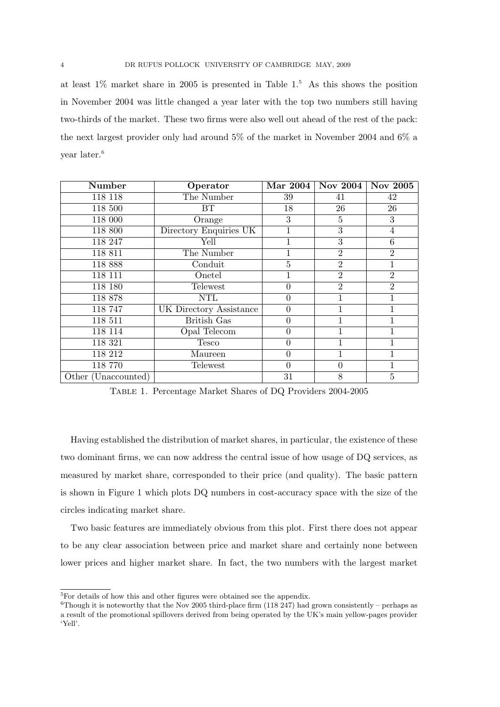at least  $1\%$  market share in 2005 is presented in Table  $1<sup>5</sup>$  As this shows the position in November 2004 was little changed a year later with the top two numbers still having two-thirds of the market. These two firms were also well out ahead of the rest of the pack: the next largest provider only had around 5% of the market in November 2004 and 6% a year later.<sup>6</sup>

| Number              | Operator                | Mar 2004 | Nov 2004 $ $   | Nov 2005       |
|---------------------|-------------------------|----------|----------------|----------------|
| 118 118             | The Number              | 39       | 41             | 42             |
| 118 500             | <b>BT</b>               | 18       | 26             | 26             |
| 118 000             | Orange                  | 3        | 5              | 3              |
| 118 800             | Directory Enquiries UK  |          | $\overline{3}$ | $\overline{4}$ |
| 118 247             | Yell                    | 1        | 3              | 6              |
| 118 811             | The Number              |          | $\overline{2}$ | $\overline{2}$ |
| 118 888             | Conduit                 | 5        | $\overline{2}$ |                |
| 118 111             | Onetel                  |          | $\overline{2}$ | $\overline{2}$ |
| 118 180             | Telewest                | $\theta$ | $\overline{2}$ | $\overline{2}$ |
| 118 878             | <b>NTL</b>              | $\theta$ |                | 1              |
| 118 747             | UK Directory Assistance | $\theta$ |                |                |
| 118 511             | <b>British Gas</b>      | $\theta$ |                |                |
| 118 114             | Opal Telecom            | $\theta$ |                |                |
| 118 321             | Tesco                   | $\theta$ | 1              |                |
| 118 212             | Maureen                 | $\theta$ | 1              | 1              |
| 118 770             | Telewest                | $\theta$ | $\theta$       | $\mathbf 1$    |
| Other (Unaccounted) |                         | 31       | 8              | 5              |

Table 1. Percentage Market Shares of DQ Providers 2004-2005

Having established the distribution of market shares, in particular, the existence of these two dominant firms, we can now address the central issue of how usage of DQ services, as measured by market share, corresponded to their price (and quality). The basic pattern is shown in Figure 1 which plots DQ numbers in cost-accuracy space with the size of the circles indicating market share.

Two basic features are immediately obvious from this plot. First there does not appear to be any clear association between price and market share and certainly none between lower prices and higher market share. In fact, the two numbers with the largest market

<sup>5</sup>For details of how this and other figures were obtained see the appendix.

<sup>&</sup>lt;sup>6</sup>Though it is noteworthy that the Nov 2005 third-place firm (118 247) had grown consistently – perhaps as a result of the promotional spillovers derived from being operated by the UK's main yellow-pages provider 'Yell'.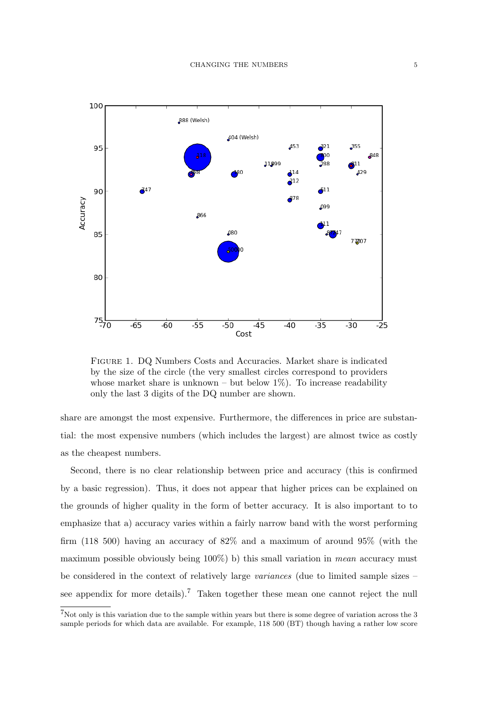

Figure 1. DQ Numbers Costs and Accuracies. Market share is indicated by the size of the circle (the very smallest circles correspond to providers whose market share is unknown – but below  $1\%$ ). To increase readability only the last 3 digits of the DQ number are shown.

share are amongst the most expensive. Furthermore, the differences in price are substantial: the most expensive numbers (which includes the largest) are almost twice as costly as the cheapest numbers.

Second, there is no clear relationship between price and accuracy (this is confirmed by a basic regression). Thus, it does not appear that higher prices can be explained on the grounds of higher quality in the form of better accuracy. It is also important to to emphasize that a) accuracy varies within a fairly narrow band with the worst performing firm (118 500) having an accuracy of 82% and a maximum of around 95% (with the maximum possible obviously being 100%) b) this small variation in mean accuracy must be considered in the context of relatively large variances (due to limited sample sizes – see appendix for more details).<sup>7</sup> Taken together these mean one cannot reject the null

 $7$ Not only is this variation due to the sample within years but there is some degree of variation across the 3 sample periods for which data are available. For example, 118 500 (BT) though having a rather low score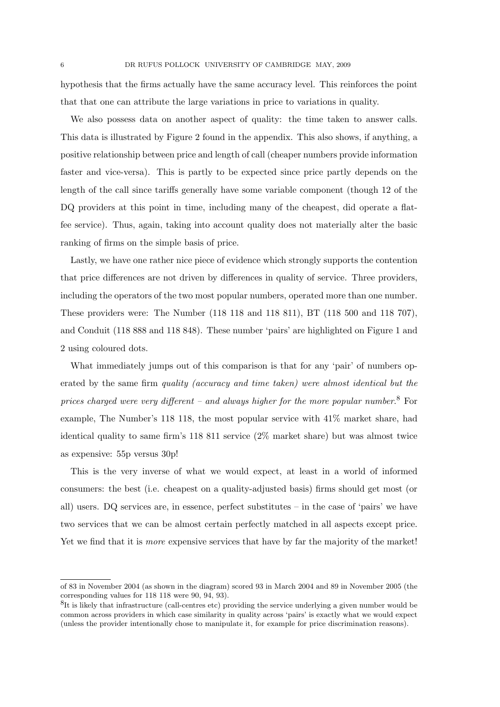hypothesis that the firms actually have the same accuracy level. This reinforces the point that that one can attribute the large variations in price to variations in quality.

We also possess data on another aspect of quality: the time taken to answer calls. This data is illustrated by Figure 2 found in the appendix. This also shows, if anything, a positive relationship between price and length of call (cheaper numbers provide information faster and vice-versa). This is partly to be expected since price partly depends on the length of the call since tariffs generally have some variable component (though 12 of the DQ providers at this point in time, including many of the cheapest, did operate a flatfee service). Thus, again, taking into account quality does not materially alter the basic ranking of firms on the simple basis of price.

Lastly, we have one rather nice piece of evidence which strongly supports the contention that price differences are not driven by differences in quality of service. Three providers, including the operators of the two most popular numbers, operated more than one number. These providers were: The Number (118 118 and 118 811), BT (118 500 and 118 707), and Conduit (118 888 and 118 848). These number 'pairs' are highlighted on Figure 1 and 2 using coloured dots.

What immediately jumps out of this comparison is that for any 'pair' of numbers operated by the same firm quality (accuracy and time taken) were almost identical but the prices charged were very different – and always higher for the more popular number.<sup>8</sup> For example, The Number's 118 118, the most popular service with 41% market share, had identical quality to same firm's 118 811 service (2% market share) but was almost twice as expensive: 55p versus 30p!

This is the very inverse of what we would expect, at least in a world of informed consumers: the best (i.e. cheapest on a quality-adjusted basis) firms should get most (or all) users. DQ services are, in essence, perfect substitutes – in the case of 'pairs' we have two services that we can be almost certain perfectly matched in all aspects except price. Yet we find that it is *more* expensive services that have by far the majority of the market!

of 83 in November 2004 (as shown in the diagram) scored 93 in March 2004 and 89 in November 2005 (the corresponding values for 118 118 were 90, 94, 93).

<sup>&</sup>lt;sup>8</sup>It is likely that infrastructure (call-centres etc) providing the service underlying a given number would be common across providers in which case similarity in quality across 'pairs' is exactly what we would expect (unless the provider intentionally chose to manipulate it, for example for price discrimination reasons).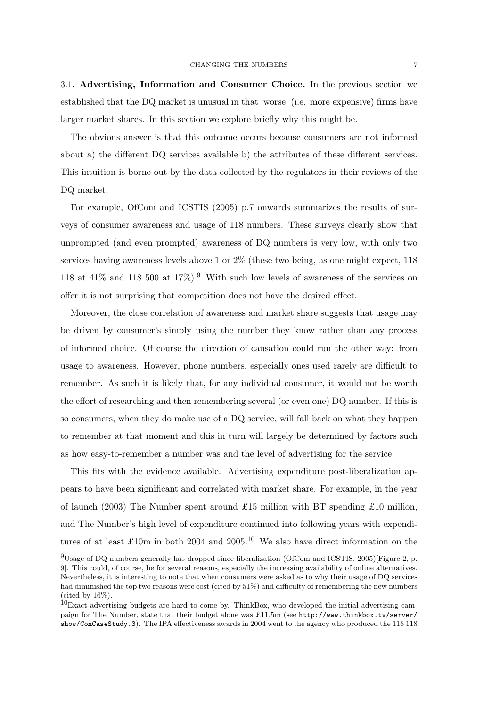3.1. Advertising, Information and Consumer Choice. In the previous section we established that the DQ market is unusual in that 'worse' (i.e. more expensive) firms have larger market shares. In this section we explore briefly why this might be.

The obvious answer is that this outcome occurs because consumers are not informed about a) the different DQ services available b) the attributes of these different services. This intuition is borne out by the data collected by the regulators in their reviews of the DQ market.

For example, OfCom and ICSTIS (2005) p.7 onwards summarizes the results of surveys of consumer awareness and usage of 118 numbers. These surveys clearly show that unprompted (and even prompted) awareness of DQ numbers is very low, with only two services having awareness levels above 1 or 2% (these two being, as one might expect, 118 118 at  $41\%$  and 118 500 at  $17\%$ ).<sup>9</sup> With such low levels of awareness of the services on offer it is not surprising that competition does not have the desired effect.

Moreover, the close correlation of awareness and market share suggests that usage may be driven by consumer's simply using the number they know rather than any process of informed choice. Of course the direction of causation could run the other way: from usage to awareness. However, phone numbers, especially ones used rarely are difficult to remember. As such it is likely that, for any individual consumer, it would not be worth the effort of researching and then remembering several (or even one) DQ number. If this is so consumers, when they do make use of a DQ service, will fall back on what they happen to remember at that moment and this in turn will largely be determined by factors such as how easy-to-remember a number was and the level of advertising for the service.

This fits with the evidence available. Advertising expenditure post-liberalization appears to have been significant and correlated with market share. For example, in the year of launch (2003) The Number spent around £15 million with BT spending £10 million, and The Number's high level of expenditure continued into following years with expenditures of at least £10m in both 2004 and 2005.<sup>10</sup> We also have direct information on the

 $^{9}$ Usage of DQ numbers generally has dropped since liberalization (OfCom and ICSTIS, 2005)[Figure 2, p. 9]. This could, of course, be for several reasons, especially the increasing availability of online alternatives. Nevertheless, it is interesting to note that when consumers were asked as to why their usage of DQ services had diminished the top two reasons were cost (cited by 51%) and difficulty of remembering the new numbers (cited by  $16\%$ ).

<sup>10</sup>Exact advertising budgets are hard to come by. ThinkBox, who developed the initial advertising campaign for The Number, state that their budget alone was £11.5m (see http://www.thinkbox.tv/server/ show/ConCaseStudy.3). The IPA effectiveness awards in 2004 went to the agency who produced the 118 118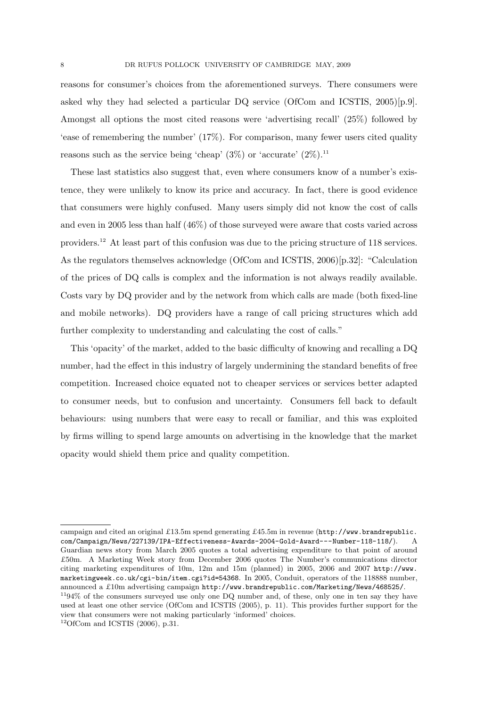reasons for consumer's choices from the aforementioned surveys. There consumers were asked why they had selected a particular DQ service (OfCom and ICSTIS, 2005)[p.9]. Amongst all options the most cited reasons were 'advertising recall' (25%) followed by 'ease of remembering the number' (17%). For comparison, many fewer users cited quality reasons such as the service being 'cheap'  $(3\%)$  or 'accurate'  $(2\%)$ <sup>11</sup>

These last statistics also suggest that, even where consumers know of a number's existence, they were unlikely to know its price and accuracy. In fact, there is good evidence that consumers were highly confused. Many users simply did not know the cost of calls and even in 2005 less than half (46%) of those surveyed were aware that costs varied across providers.<sup>12</sup> At least part of this confusion was due to the pricing structure of 118 services. As the regulators themselves acknowledge (OfCom and ICSTIS, 2006)[p.32]: "Calculation of the prices of DQ calls is complex and the information is not always readily available. Costs vary by DQ provider and by the network from which calls are made (both fixed-line and mobile networks). DQ providers have a range of call pricing structures which add further complexity to understanding and calculating the cost of calls."

This 'opacity' of the market, added to the basic difficulty of knowing and recalling a DQ number, had the effect in this industry of largely undermining the standard benefits of free competition. Increased choice equated not to cheaper services or services better adapted to consumer needs, but to confusion and uncertainty. Consumers fell back to default behaviours: using numbers that were easy to recall or familiar, and this was exploited by firms willing to spend large amounts on advertising in the knowledge that the market opacity would shield them price and quality competition.

campaign and cited an original £13.5m spend generating £45.5m in revenue (http://www.brandrepublic. com/Campaign/News/227139/IPA-Effectiveness-Awards-2004-Gold-Award---Number-118-118/). A Guardian news story from March 2005 quotes a total advertising expenditure to that point of around £50m. A Marketing Week story from December 2006 quotes The Number's communications director citing marketing expenditures of 10m, 12m and 15m (planned) in 2005, 2006 and 2007 http://www. marketingweek.co.uk/cgi-bin/item.cgi?id=54368. In 2005, Conduit, operators of the 118888 number, announced a £10m advertising campaign http://www.brandrepublic.com/Marketing/News/468525/. <sup>11</sup>94% of the consumers surveyed use only one DQ number and, of these, only one in ten say they have

used at least one other service (OfCom and ICSTIS (2005), p. 11). This provides further support for the view that consumers were not making particularly 'informed' choices.

 $12$ OfCom and ICSTIS (2006), p.31.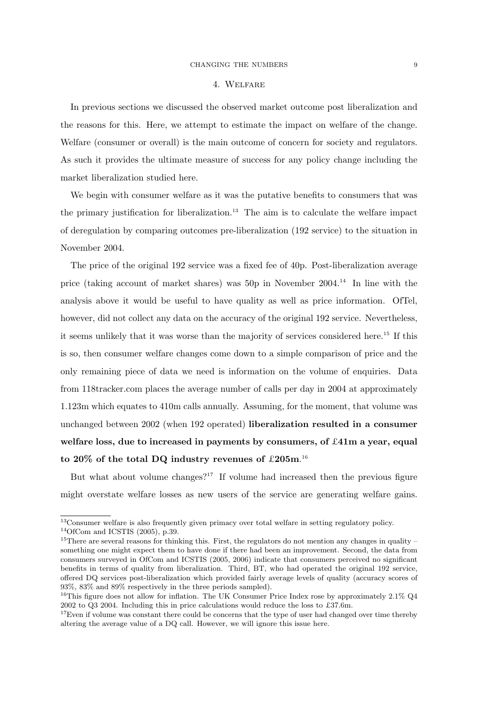#### 4. Welfare

In previous sections we discussed the observed market outcome post liberalization and the reasons for this. Here, we attempt to estimate the impact on welfare of the change. Welfare (consumer or overall) is the main outcome of concern for society and regulators. As such it provides the ultimate measure of success for any policy change including the market liberalization studied here.

We begin with consumer welfare as it was the putative benefits to consumers that was the primary justification for liberalization.<sup>13</sup> The aim is to calculate the welfare impact of deregulation by comparing outcomes pre-liberalization (192 service) to the situation in November 2004.

The price of the original 192 service was a fixed fee of 40p. Post-liberalization average price (taking account of market shares) was 50p in November 2004.<sup>14</sup> In line with the analysis above it would be useful to have quality as well as price information. OfTel, however, did not collect any data on the accuracy of the original 192 service. Nevertheless, it seems unlikely that it was worse than the majority of services considered here.<sup>15</sup> If this is so, then consumer welfare changes come down to a simple comparison of price and the only remaining piece of data we need is information on the volume of enquiries. Data from 118tracker.com places the average number of calls per day in 2004 at approximately 1.123m which equates to 410m calls annually. Assuming, for the moment, that volume was unchanged between 2002 (when 192 operated) liberalization resulted in a consumer welfare loss, due to increased in payments by consumers, of  $\pounds 41m$  a year, equal to 20% of the total DQ industry revenues of  $\pounds 205$ m.<sup>16</sup>

But what about volume changes?<sup>17</sup> If volume had increased then the previous figure might overstate welfare losses as new users of the service are generating welfare gains.

<sup>13</sup>Consumer welfare is also frequently given primacy over total welfare in setting regulatory policy.

 $14$ OfCom and ICSTIS (2005), p.39.

 $15$ There are several reasons for thinking this. First, the regulators do not mention any changes in quality – something one might expect them to have done if there had been an improvement. Second, the data from consumers surveyed in OfCom and ICSTIS (2005, 2006) indicate that consumers perceived no significant benefits in terms of quality from liberalization. Third, BT, who had operated the original 192 service, offered DQ services post-liberalization which provided fairly average levels of quality (accuracy scores of 93%, 83% and 89% respectively in the three periods sampled).

<sup>&</sup>lt;sup>16</sup>This figure does not allow for inflation. The UK Consumer Price Index rose by approximately  $2.1\%$  Q4 2002 to Q3 2004. Including this in price calculations would reduce the loss to £37.6m.

 $17$ Even if volume was constant there could be concerns that the type of user had changed over time thereby altering the average value of a DQ call. However, we will ignore this issue here.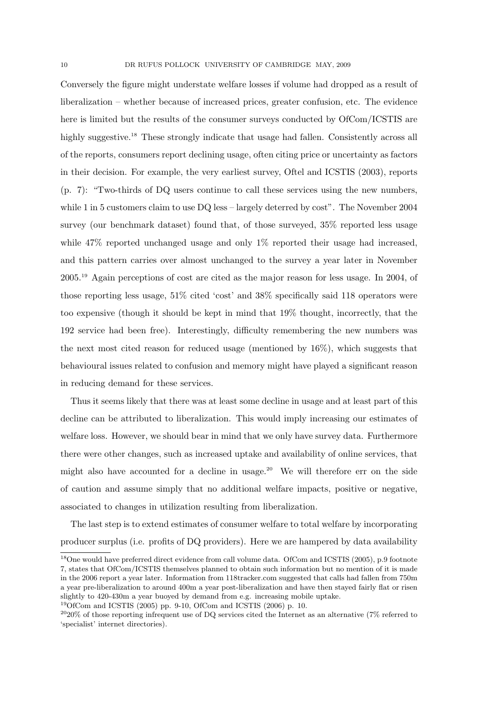Conversely the figure might understate welfare losses if volume had dropped as a result of liberalization – whether because of increased prices, greater confusion, etc. The evidence here is limited but the results of the consumer surveys conducted by OfCom/ICSTIS are highly suggestive.<sup>18</sup> These strongly indicate that usage had fallen. Consistently across all of the reports, consumers report declining usage, often citing price or uncertainty as factors in their decision. For example, the very earliest survey, Oftel and ICSTIS (2003), reports (p. 7): "Two-thirds of DQ users continue to call these services using the new numbers, while 1 in 5 customers claim to use DQ less – largely deterred by cost". The November 2004 survey (our benchmark dataset) found that, of those surveyed, 35% reported less usage while 47% reported unchanged usage and only 1% reported their usage had increased, and this pattern carries over almost unchanged to the survey a year later in November 2005.<sup>19</sup> Again perceptions of cost are cited as the major reason for less usage. In 2004, of those reporting less usage, 51% cited 'cost' and 38% specifically said 118 operators were too expensive (though it should be kept in mind that 19% thought, incorrectly, that the 192 service had been free). Interestingly, difficulty remembering the new numbers was the next most cited reason for reduced usage (mentioned by 16%), which suggests that behavioural issues related to confusion and memory might have played a significant reason in reducing demand for these services.

Thus it seems likely that there was at least some decline in usage and at least part of this decline can be attributed to liberalization. This would imply increasing our estimates of welfare loss. However, we should bear in mind that we only have survey data. Furthermore there were other changes, such as increased uptake and availability of online services, that might also have accounted for a decline in usage.<sup>20</sup> We will therefore err on the side of caution and assume simply that no additional welfare impacts, positive or negative, associated to changes in utilization resulting from liberalization.

The last step is to extend estimates of consumer welfare to total welfare by incorporating producer surplus (i.e. profits of DQ providers). Here we are hampered by data availability

<sup>18</sup>One would have preferred direct evidence from call volume data. OfCom and ICSTIS (2005), p.9 footnote 7, states that OfCom/ICSTIS themselves planned to obtain such information but no mention of it is made in the 2006 report a year later. Information from 118tracker.com suggested that calls had fallen from 750m a year pre-liberalization to around 400m a year post-liberalization and have then stayed fairly flat or risen slightly to 420-430m a year buoyed by demand from e.g. increasing mobile uptake.

<sup>&</sup>lt;sup>19</sup>OfCom and ICSTIS (2005) pp. 9-10, OfCom and ICSTIS (2006) p. 10.

 $2020\%$  of those reporting infrequent use of DQ services cited the Internet as an alternative (7% referred to 'specialist' internet directories).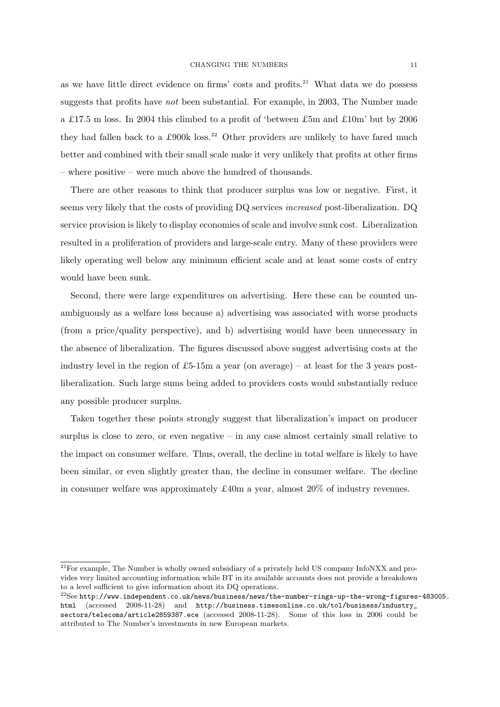as we have little direct evidence on firms' costs and profits.<sup>21</sup> What data we do possess suggests that profits have not been substantial. For example, in 2003, The Number made a £17.5 m loss. In 2004 this climbed to a profit of 'between £5m and £10m' but by 2006 they had fallen back to a £900k loss.<sup>22</sup> Other providers are unlikely to have fared much better and combined with their small scale make it very unlikely that profits at other firms – where positive – were much above the hundred of thousands.

There are other reasons to think that producer surplus was low or negative. First, it seems very likely that the costs of providing DQ services increased post-liberalization. DQ service provision is likely to display economies of scale and involve sunk cost. Liberalization resulted in a proliferation of providers and large-scale entry. Many of these providers were likely operating well below any minimum efficient scale and at least some costs of entry would have been sunk.

Second, there were large expenditures on advertising. Here these can be counted unambiguously as a welfare loss because a) advertising was associated with worse products (from a price/quality perspective), and b) advertising would have been unnecessary in the absence of liberalization. The figures discussed above suggest advertising costs at the industry level in the region of £5-15m a year (on average) – at least for the 3 years postliberalization. Such large sums being added to providers costs would substantially reduce any possible producer surplus.

Taken together these points strongly suggest that liberalization's impact on producer surplus is close to zero, or even negative  $-$  in any case almost certainly small relative to the impact on consumer welfare. Thus, overall, the decline in total welfare is likely to have been similar, or even slightly greater than, the decline in consumer welfare. The decline in consumer welfare was approximately £40m a year, almost 20% of industry revenues.

<sup>&</sup>lt;sup>21</sup>For example, The Number is wholly owned subsidiary of a privately held US company InfoNXX and provides very limited accounting information while BT in its available accounts does not provide a breakdown to a level sufficient to give information about its DQ operations.

<sup>22</sup>See http://www.independent.co.uk/news/business/news/the-number-rings-up-the-wrong-figures-483005. html (accessed 2008-11-28) and http://business.timesonline.co.uk/tol/business/industry\_ sectors/telecoms/article2859387.ece (accessed 2008-11-28). Some of this loss in 2006 could be attributed to The Number's investments in new European markets.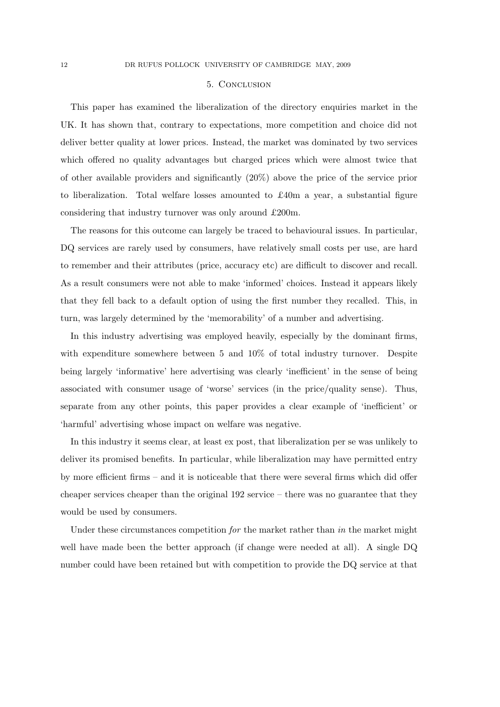#### 5. Conclusion

This paper has examined the liberalization of the directory enquiries market in the UK. It has shown that, contrary to expectations, more competition and choice did not deliver better quality at lower prices. Instead, the market was dominated by two services which offered no quality advantages but charged prices which were almost twice that of other available providers and significantly (20%) above the price of the service prior to liberalization. Total welfare losses amounted to  $\pounds 40m$  a year, a substantial figure considering that industry turnover was only around £200m.

The reasons for this outcome can largely be traced to behavioural issues. In particular, DQ services are rarely used by consumers, have relatively small costs per use, are hard to remember and their attributes (price, accuracy etc) are difficult to discover and recall. As a result consumers were not able to make 'informed' choices. Instead it appears likely that they fell back to a default option of using the first number they recalled. This, in turn, was largely determined by the 'memorability' of a number and advertising.

In this industry advertising was employed heavily, especially by the dominant firms, with expenditure somewhere between 5 and 10% of total industry turnover. Despite being largely 'informative' here advertising was clearly 'inefficient' in the sense of being associated with consumer usage of 'worse' services (in the price/quality sense). Thus, separate from any other points, this paper provides a clear example of 'inefficient' or 'harmful' advertising whose impact on welfare was negative.

In this industry it seems clear, at least ex post, that liberalization per se was unlikely to deliver its promised benefits. In particular, while liberalization may have permitted entry by more efficient firms – and it is noticeable that there were several firms which did offer cheaper services cheaper than the original 192 service – there was no guarantee that they would be used by consumers.

Under these circumstances competition for the market rather than in the market might well have made been the better approach (if change were needed at all). A single DQ number could have been retained but with competition to provide the DQ service at that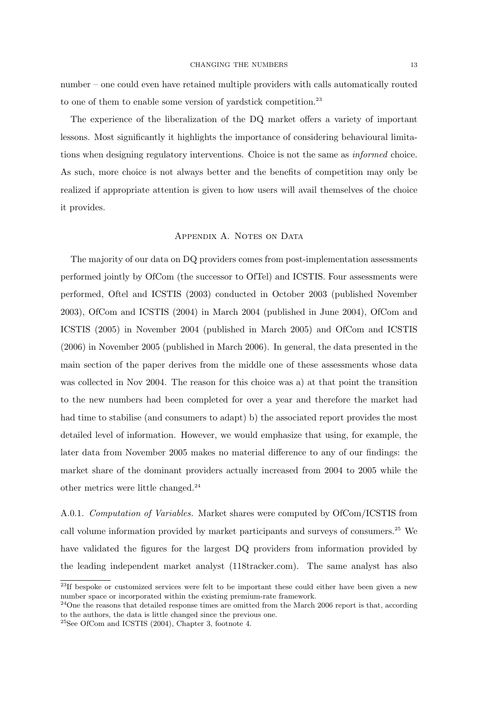number – one could even have retained multiple providers with calls automatically routed to one of them to enable some version of yardstick competition.<sup>23</sup>

The experience of the liberalization of the DQ market offers a variety of important lessons. Most significantly it highlights the importance of considering behavioural limitations when designing regulatory interventions. Choice is not the same as informed choice. As such, more choice is not always better and the benefits of competition may only be realized if appropriate attention is given to how users will avail themselves of the choice it provides.

## APPENDIX A. NOTES ON DATA

The majority of our data on DQ providers comes from post-implementation assessments performed jointly by OfCom (the successor to OfTel) and ICSTIS. Four assessments were performed, Oftel and ICSTIS (2003) conducted in October 2003 (published November 2003), OfCom and ICSTIS (2004) in March 2004 (published in June 2004), OfCom and ICSTIS (2005) in November 2004 (published in March 2005) and OfCom and ICSTIS (2006) in November 2005 (published in March 2006). In general, the data presented in the main section of the paper derives from the middle one of these assessments whose data was collected in Nov 2004. The reason for this choice was a) at that point the transition to the new numbers had been completed for over a year and therefore the market had had time to stabilise (and consumers to adapt) b) the associated report provides the most detailed level of information. However, we would emphasize that using, for example, the later data from November 2005 makes no material difference to any of our findings: the market share of the dominant providers actually increased from 2004 to 2005 while the other metrics were little changed.<sup>24</sup>

A.0.1. Computation of Variables. Market shares were computed by OfCom/ICSTIS from call volume information provided by market participants and surveys of consumers.<sup>25</sup> We have validated the figures for the largest DQ providers from information provided by the leading independent market analyst (118tracker.com). The same analyst has also

<sup>&</sup>lt;sup>23</sup>If bespoke or customized services were felt to be important these could either have been given a new number space or incorporated within the existing premium-rate framework.

<sup>&</sup>lt;sup>24</sup>One the reasons that detailed response times are omitted from the March 2006 report is that, according to the authors, the data is little changed since the previous one.

<sup>25</sup>See OfCom and ICSTIS (2004), Chapter 3, footnote 4.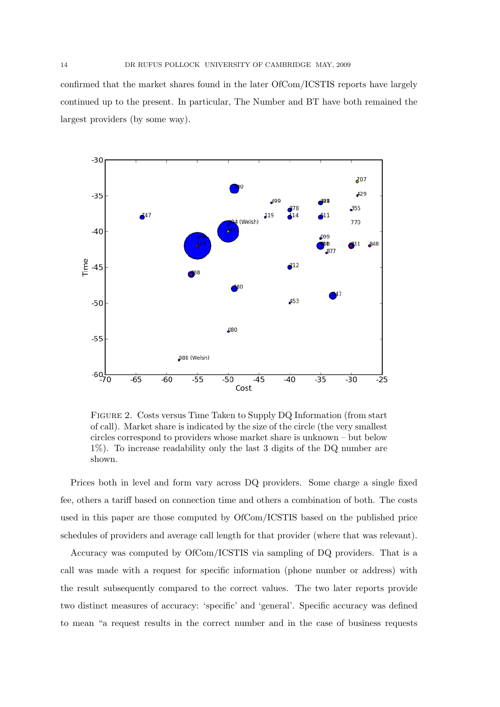confirmed that the market shares found in the later OfCom/ICSTIS reports have largely continued up to the present. In particular, The Number and BT have both remained the largest providers (by some way).



Figure 2. Costs versus Time Taken to Supply DQ Information (from start of call). Market share is indicated by the size of the circle (the very smallest circles correspond to providers whose market share is unknown – but below 1%). To increase readability only the last 3 digits of the DQ number are shown.

Prices both in level and form vary across DQ providers. Some charge a single fixed fee, others a tariff based on connection time and others a combination of both. The costs used in this paper are those computed by OfCom/ICSTIS based on the published price schedules of providers and average call length for that provider (where that was relevant).

Accuracy was computed by OfCom/ICSTIS via sampling of DQ providers. That is a call was made with a request for specific information (phone number or address) with the result subsequently compared to the correct values. The two later reports provide two distinct measures of accuracy: 'specific' and 'general'. Specific accuracy was defined to mean "a request results in the correct number and in the case of business requests